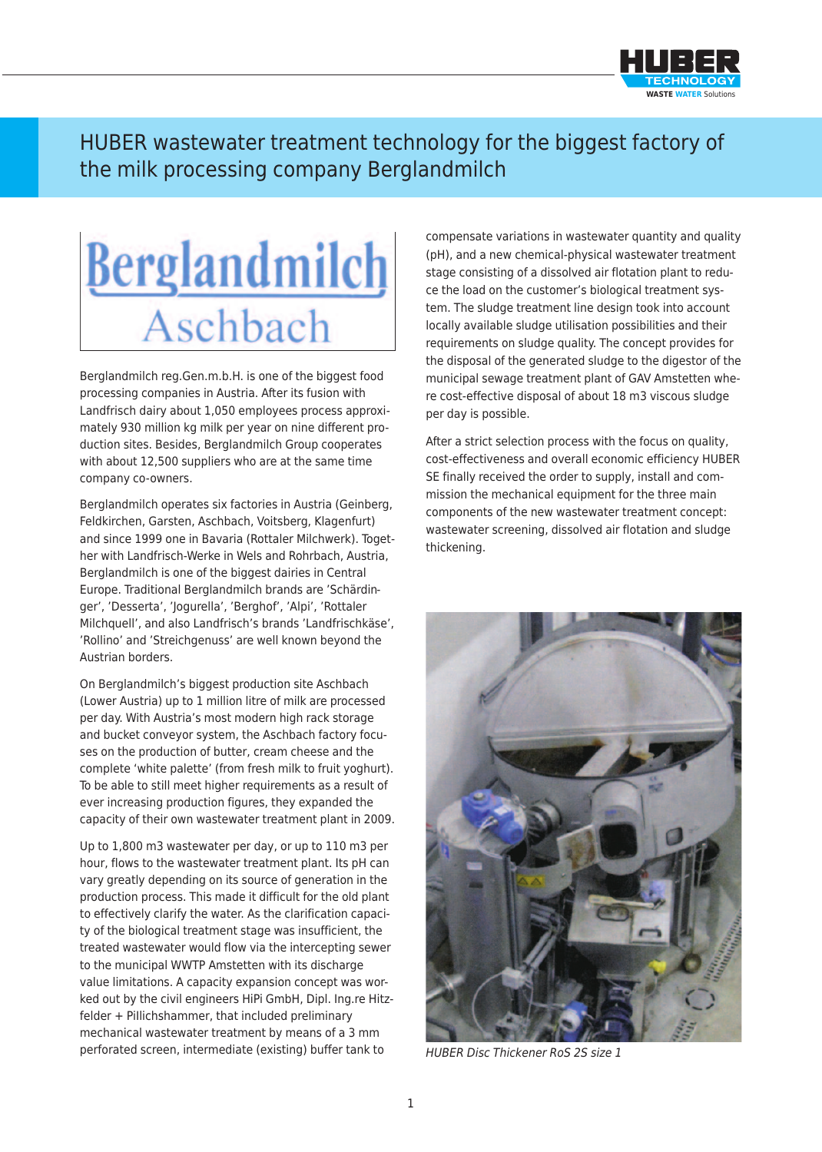

## HUBER wastewater treatment technology for the biggest factory of the milk processing company Berglandmilch

## **Berglandmilch** Aschbach

Berglandmilch reg.Gen.m.b.H. is one of the biggest food processing companies in Austria. After its fusion with Landfrisch dairy about 1,050 employees process approximately 930 million kg milk per year on nine different production sites. Besides, Berglandmilch Group cooperates with about 12,500 suppliers who are at the same time company co-owners.

Berglandmilch operates six factories in Austria (Geinberg, Feldkirchen, Garsten, Aschbach, Voitsberg, Klagenfurt) and since 1999 one in Bavaria (Rottaler Milchwerk). Together with Landfrisch-Werke in Wels and Rohrbach, Austria, Berglandmilch is one of the biggest dairies in Central Europe. Traditional Berglandmilch brands are 'Schärdinger', 'Desserta', 'Jogurella', 'Berghof', 'Alpi', 'Rottaler Milchquell', and also Landfrisch's brands 'Landfrischkäse', 'Rollino' and 'Streichgenuss' are well known beyond the Austrian borders.

On Berglandmilch's biggest production site Aschbach (Lower Austria) up to 1 million litre of milk are processed per day. With Austria's most modern high rack storage and bucket conveyor system, the Aschbach factory focuses on the production of butter, cream cheese and the complete 'white palette' (from fresh milk to fruit yoghurt). To be able to still meet higher requirements as a result of ever increasing production figures, they expanded the capacity of their own wastewater treatment plant in 2009.

Up to 1,800 m3 wastewater per day, or up to 110 m3 per hour, flows to the wastewater treatment plant. Its pH can vary greatly depending on its source of generation in the production process. This made it difficult for the old plant to effectively clarify the water. As the clarification capacity of the biological treatment stage was insufficient, the treated wastewater would flow via the intercepting sewer to the municipal WWTP Amstetten with its discharge value limitations. A capacity expansion concept was worked out by the civil engineers HiPi GmbH, Dipl. Ing.re Hitzfelder + PiIlichshammer, that included preliminary mechanical wastewater treatment by means of a 3 mm perforated screen, intermediate (existing) buffer tank to

compensate variations in wastewater quantity and quality (pH), and a new chemical-physical wastewater treatment stage consisting of a dissolved air flotation plant to reduce the load on the customer's biological treatment system. The sludge treatment line design took into account locally available sludge utilisation possibilities and their requirements on sludge quality. The concept provides for the disposal of the generated sludge to the digestor of the municipal sewage treatment plant of GAV Amstetten where cost-effective disposal of about 18 m3 viscous sludge per day is possible.

After a strict selection process with the focus on quality, cost-effectiveness and overall economic efficiency HUBER SE finally received the order to supply, install and commission the mechanical equipment for the three main components of the new wastewater treatment concept: wastewater screening, dissolved air flotation and sludge thickening.



*HUBER Disc Thickener RoS 2S size 1*